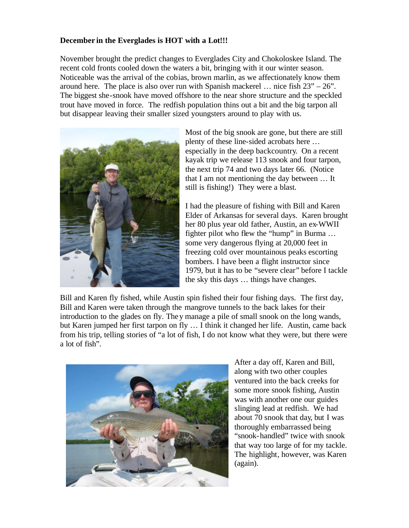## **December in the Everglades is HOT with a Lot!!!**

November brought the predict changes to Everglades City and Chokoloskee Island. The recent cold fronts cooled down the waters a bit, bringing with it our winter season. Noticeable was the arrival of the cobias, brown marlin, as we affectionately know them around here. The place is also over run with Spanish mackerel  $\ldots$  nice fish  $23^{\prime\prime} - 26^{\prime\prime}$ . The biggest she-snook have moved offshore to the near shore structure and the speckled trout have moved in force. The redfish population thins out a bit and the big tarpon all but disappear leaving their smaller sized youngsters around to play with us.



Most of the big snook are gone, but there are still plenty of these line-sided acrobats here … especially in the deep backcountry. On a recent kayak trip we release 113 snook and four tarpon, the next trip 74 and two days later 66. (Notice that I am not mentioning the day between … It still is fishing!) They were a blast.

I had the pleasure of fishing with Bill and Karen Elder of Arkansas for several days. Karen brought her 80 plus year old father, Austin, an ex-WWII fighter pilot who flew the "hump" in Burma … some very dangerous flying at 20,000 feet in freezing cold over mountainous peaks escorting bombers. I have been a flight instructor since 1979, but it has to be "severe clear" before I tackle the sky this days … things have changes.

Bill and Karen fly fished, while Austin spin fished their four fishing days. The first day, Bill and Karen were taken through the mangrove tunnels to the back lakes for their introduction to the glades on fly. They manage a pile of small snook on the long wands, but Karen jumped her first tarpon on fly … I think it changed her life. Austin, came back from his trip, telling stories of "a lot of fish, I do not know what they were, but there were a lot of fish".



After a day off, Karen and Bill, along with two other couples ventured into the back creeks for some more snook fishing, Austin was with another one our guides slinging lead at redfish. We had about 70 snook that day, but I was thoroughly embarrassed being "snook-handled" twice with snook that way too large of for my tackle. The highlight, however, was Karen (again).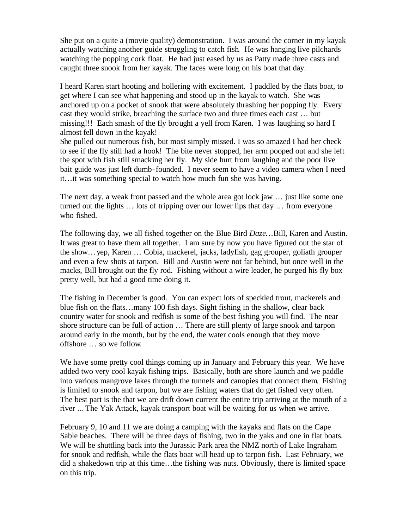She put on a quite a (movie quality) demonstration. I was around the corner in my kayak actually watching another guide struggling to catch fish. He was hanging live pilchards watching the popping cork float. He had just eased by us as Patty made three casts and caught three snook from her kayak. The faces were long on his boat that day.

I heard Karen start hooting and hollering with excitement. I paddled by the flats boat, to get where I can see what happening and stood up in the kayak to watch. She was anchored up on a pocket of snook that were absolutely thrashing her popping fly. Every cast they would strike, breaching the surface two and three times each cast … but missing!!! Each smash of the fly brought a yell from Karen. I was laughing so hard I almost fell down in the kayak!

She pulled out numerous fish, but most simply missed. I was so amazed I had her check to see if the fly still had a hook! The bite never stopped, her arm pooped out and she left the spot with fish still smacking her fly. My side hurt from laughing and the poor live bait guide was just left dumb-founded. I never seem to have a video camera when I need it…it was something special to watch how much fun she was having.

The next day, a weak front passed and the whole area got lock jaw … just like some one turned out the lights … lots of tripping over our lower lips that day … from everyone who fished.

The following day, we all fished together on the Blue Bird *Daze*... Bill, Karen and Austin. It was great to have them all together. I am sure by now you have figured out the star of the show…yep, Karen … Cobia, mackerel, jacks, ladyfish, gag grouper, goliath grouper and even a few shots at tarpon. Bill and Austin were not far behind, but once well in the macks, Bill brought out the fly rod. Fishing without a wire leader, he purged his fly box pretty well, but had a good time doing it.

The fishing in December is good. You can expect lots of speckled trout, mackerels and blue fish on the flats…many 100 fish days. Sight fishing in the shallow, clear back country water for snook and redfish is some of the best fishing you will find. The near shore structure can be full of action … There are still plenty of large snook and tarpon around early in the month, but by the end, the water cools enough that they move offshore … so we follow.

We have some pretty cool things coming up in January and February this year. We have added two very cool kayak fishing trips. Basically, both are shore launch and we paddle into various mangrove lakes through the tunnels and canopies that connect them. Fishing is limited to snook and tarpon, but we are fishing waters that do get fished very often. The best part is the that we are drift down current the entire trip arriving at the mouth of a river ... The Yak Attack, kayak transport boat will be waiting for us when we arrive.

February 9, 10 and 11 we are doing a camping with the kayaks and flats on the Cape Sable beaches. There will be three days of fishing, two in the yaks and one in flat boats. We will be shuttling back into the Jurassic Park area the NMZ north of Lake Ingraham for snook and redfish, while the flats boat will head up to tarpon fish. Last February, we did a shakedown trip at this time…the fishing was nuts. Obviously, there is limited space on this trip.